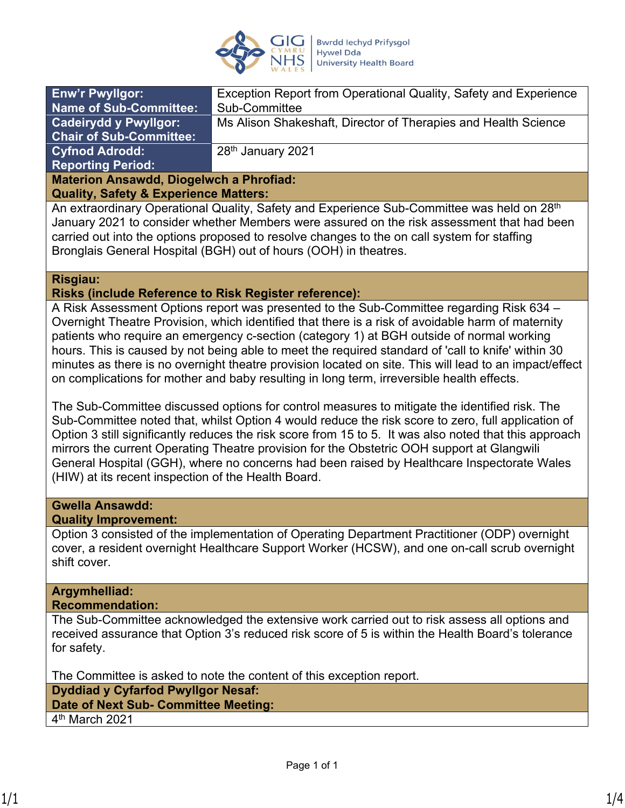

| <b>Enw'r Pwyllgor:</b>                         | Exception Report from Operational Quality, Safety and Experience |
|------------------------------------------------|------------------------------------------------------------------|
| <b>Name of Sub-Committee:</b>                  | Sub-Committee                                                    |
| <b>Cadeirydd y Pwyllgor:</b>                   | Ms Alison Shakeshaft, Director of Therapies and Health Science   |
| <b>Chair of Sub-Committee:</b>                 |                                                                  |
| <b>Cyfnod Adrodd:</b>                          | 28 <sup>th</sup> January 2021                                    |
| <b>Reporting Period:</b>                       |                                                                  |
| <b>Materion Ansawdd, Diogelwch a Phrofiad:</b> |                                                                  |

**Quality, Safety & Experience Matters:**

An extraordinary Operational Quality, Safety and Experience Sub-Committee was held on 28<sup>th</sup> January 2021 to consider whether Members were assured on the risk assessment that had been carried out into the options proposed to resolve changes to the on call system for staffing Bronglais General Hospital (BGH) out of hours (OOH) in theatres.

### **Risgiau:**

### **Risks (include Reference to Risk Register reference):**

A Risk Assessment Options report was presented to the Sub-Committee regarding Risk 634 – Overnight Theatre Provision, which identified that there is a risk of avoidable harm of maternity patients who require an emergency c-section (category 1) at BGH outside of normal working hours. This is caused by not being able to meet the required standard of 'call to knife' within 30 minutes as there is no overnight theatre provision located on site. This will lead to an impact/effect on complications for mother and baby resulting in long term, irreversible health effects.

The Sub-Committee discussed options for control measures to mitigate the identified risk. The Sub-Committee noted that, whilst Option 4 would reduce the risk score to zero, full application of Option 3 still significantly reduces the risk score from 15 to 5. It was also noted that this approach mirrors the current Operating Theatre provision for the Obstetric OOH support at Glangwili General Hospital (GGH), where no concerns had been raised by Healthcare Inspectorate Wales (HIW) at its recent inspection of the Health Board.

## **Gwella Ansawdd:**

### **Quality Improvement:**

Option 3 consisted of the implementation of Operating Department Practitioner (ODP) overnight cover, a resident overnight Healthcare Support Worker (HCSW), and one on-call scrub overnight shift cover.

# **Argymhelliad:**

**Recommendation:**

The Sub-Committee acknowledged the extensive work carried out to risk assess all options and received assurance that Option 3's reduced risk score of 5 is within the Health Board's tolerance for safety.

The Committee is asked to note the content of this exception report. **Dyddiad y Cyfarfod Pwyllgor Nesaf: Date of Next Sub- Committee Meeting:** 

4 th March 2021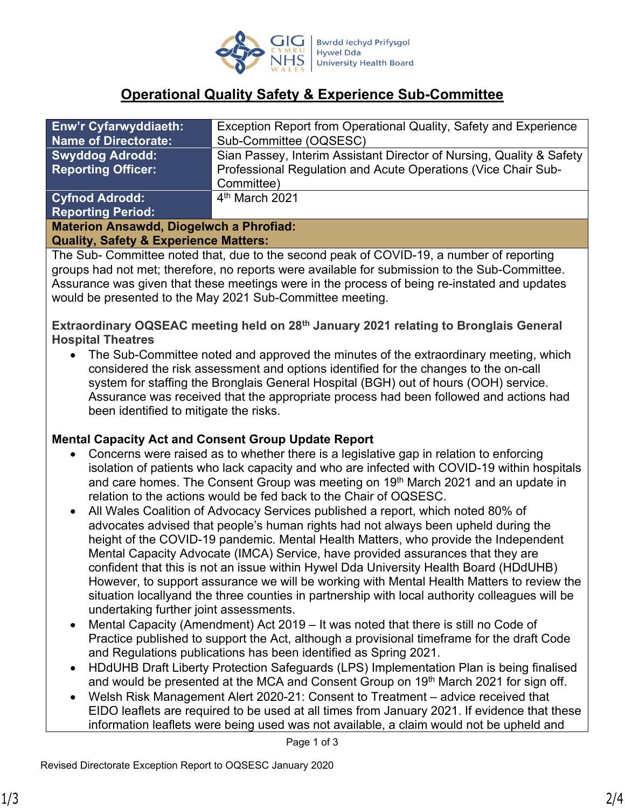

## **Operational Quality Safety & Experience Sub-Committee**

| <b>Enw'r Cyfarwyddiaeth:</b>                   | Exception Report from Operational Quality, Safety and Experience     |
|------------------------------------------------|----------------------------------------------------------------------|
| <b>Name of Directorate:</b>                    | Sub-Committee (OQSESC)                                               |
| <b>Swyddog Adrodd:</b>                         | Sian Passey, Interim Assistant Director of Nursing, Quality & Safety |
| <b>Reporting Officer:</b>                      | Professional Regulation and Acute Operations (Vice Chair Sub-        |
|                                                | Committee)                                                           |
| <b>Cyfnod Adrodd:</b>                          | 4 <sup>th</sup> March 2021                                           |
| <b>Reporting Period:</b>                       |                                                                      |
| <b>Materion Ansawdd, Diogelwch a Phrofiad:</b> |                                                                      |

### **Quality, Safety & Experience Matters:**

The Sub- Committee noted that, due to the second peak of COVID-19, a number of reporting groups had not met; therefore, no reports were available for submission to the Sub-Committee. Assurance was given that these meetings were in the process of being re-instated and updates would be presented to the May 2021 Sub-Committee meeting.

**Extraordinary OQSEAC meeting held on 28th January 2021 relating to Bronglais General Hospital Theatres**

• The Sub-Committee noted and approved the minutes of the extraordinary meeting, which considered the risk assessment and options identified for the changes to the on-call system for staffing the Bronglais General Hospital (BGH) out of hours (OOH) service. Assurance was received that the appropriate process had been followed and actions had been identified to mitigate the risks.

### **Mental Capacity Act and Consent Group Update Report**

- Concerns were raised as to whether there is a legislative gap in relation to enforcing isolation of patients who lack capacity and who are infected with COVID-19 within hospitals and care homes. The Consent Group was meeting on 19<sup>th</sup> March 2021 and an update in relation to the actions would be fed back to the Chair of OQSESC.
- All Wales Coalition of Advocacy Services published a report, which noted 80% of advocates advised that people's human rights had not always been upheld during the height of the COVID-19 pandemic. Mental Health Matters, who provide the Independent Mental Capacity Advocate (IMCA) Service, have provided assurances that they are confident that this is not an issue within Hywel Dda University Health Board (HDdUHB) However, to support assurance we will be working with Mental Health Matters to review the situation locallyand the three counties in partnership with local authority colleagues will be undertaking further joint assessments.
- Mental Capacity (Amendment) Act 2019 It was noted that there is still no Code of Practice published to support the Act, although a provisional timeframe for the draft Code and Regulations publications has been identified as Spring 2021.
- HDdUHB Draft Liberty Protection Safeguards (LPS) Implementation Plan is being finalised and would be presented at the MCA and Consent Group on 19<sup>th</sup> March 2021 for sign off.
- Welsh Risk Management Alert 2020-21: Consent to Treatment advice received that EIDO leaflets are required to be used at all times from January 2021. If evidence that these information leaflets were being used was not available, a claim would not be upheld and

Page 1 of 3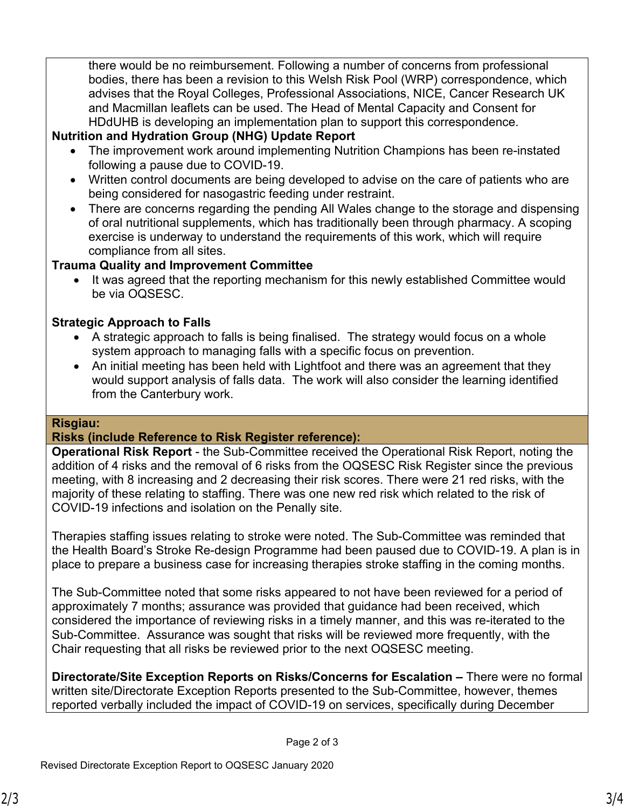there would be no reimbursement. Following a number of concerns from professional bodies, there has been a revision to this Welsh Risk Pool (WRP) correspondence, which advises that the Royal Colleges, Professional Associations, NICE, Cancer Research UK and Macmillan leaflets can be used. The Head of Mental Capacity and Consent for HDdUHB is developing an implementation plan to support this correspondence.

### **Nutrition and Hydration Group (NHG) Update Report**

- The improvement work around implementing Nutrition Champions has been re-instated following a pause due to COVID-19.
- Written control documents are being developed to advise on the care of patients who are being considered for nasogastric feeding under restraint.
- There are concerns regarding the pending All Wales change to the storage and dispensing of oral nutritional supplements, which has traditionally been through pharmacy. A scoping exercise is underway to understand the requirements of this work, which will require compliance from all sites.

### **Trauma Quality and Improvement Committee**

• It was agreed that the reporting mechanism for this newly established Committee would be via OQSESC.

### **Strategic Approach to Falls**

- A strategic approach to falls is being finalised. The strategy would focus on a whole system approach to managing falls with a specific focus on prevention.
- An initial meeting has been held with Lightfoot and there was an agreement that they would support analysis of falls data. The work will also consider the learning identified from the Canterbury work.

### **Risgiau:**

### **Risks (include Reference to Risk Register reference):**

**Operational Risk Report** - the Sub-Committee received the Operational Risk Report, noting the addition of 4 risks and the removal of 6 risks from the OQSESC Risk Register since the previous meeting, with 8 increasing and 2 decreasing their risk scores. There were 21 red risks, with the majority of these relating to staffing. There was one new red risk which related to the risk of COVID-19 infections and isolation on the Penally site.

Therapies staffing issues relating to stroke were noted. The Sub-Committee was reminded that the Health Board's Stroke Re-design Programme had been paused due to COVID-19. A plan is in place to prepare a business case for increasing therapies stroke staffing in the coming months.

The Sub-Committee noted that some risks appeared to not have been reviewed for a period of approximately 7 months; assurance was provided that guidance had been received, which considered the importance of reviewing risks in a timely manner, and this was re-iterated to the Sub-Committee. Assurance was sought that risks will be reviewed more frequently, with the Chair requesting that all risks be reviewed prior to the next OQSESC meeting.

**Directorate/Site Exception Reports on Risks/Concerns for Escalation –** There were no formal written site/Directorate Exception Reports presented to the Sub-Committee, however, themes reported verbally included the impact of COVID-19 on services, specifically during December